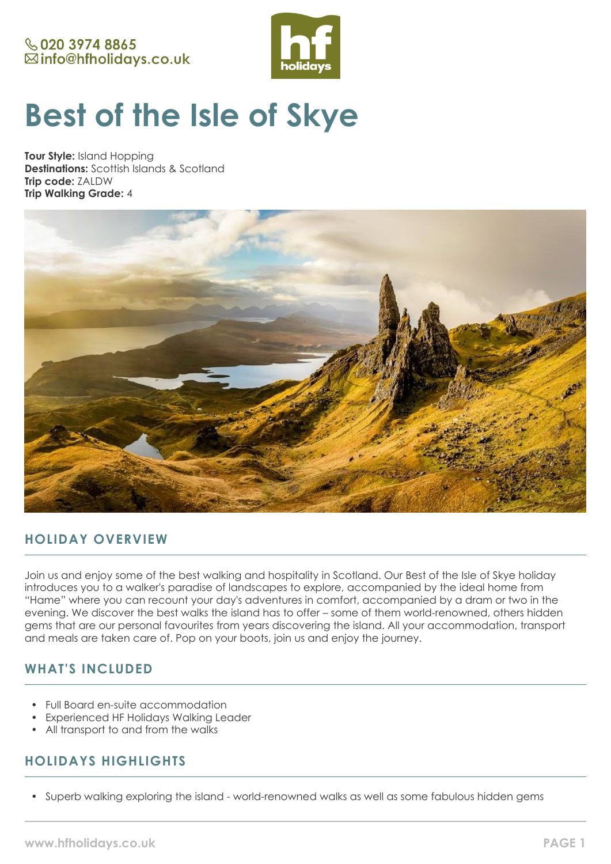# **& 020 3974 8865** ⊠info@hfholidays.co.uk



# **Best of the Isle of Skye**

**Tour Style:** Island Hopping **Destinations:** Scottish Islands & Scotland **Trip code:** ZALDW **Trip Walking Grade:** 4



# **HOLIDAY OVERVIEW**

Join us and enjoy some of the best walking and hospitality in Scotland. Our Best of the Isle of Skye holiday introduces you to a walker's paradise of landscapes to explore, accompanied by the ideal home from "Hame" where you can recount your day's adventures in comfort, accompanied by a dram or two in the evening. We discover the best walks the island has to offer – some of them world-renowned, others hidden gems that are our personal favourites from years discovering the island. All your accommodation, transport and meals are taken care of. Pop on your boots, join us and enjoy the journey.

# **WHAT'S INCLUDED**

- Full Board en-suite accommodation
- Experienced HF Holidays Walking Leader
- All transport to and from the walks

# **HOLIDAYS HIGHLIGHTS**

• Superb walking exploring the island - world-renowned walks as well as some fabulous hidden gems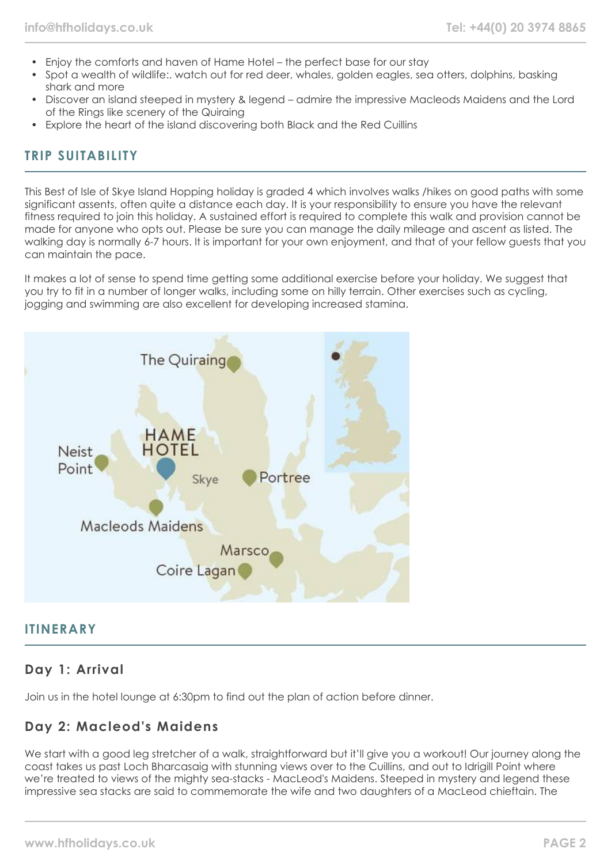- Enjoy the comforts and haven of Hame Hotel the perfect base for our stay
- Spot a wealth of wildlife:. watch out for red deer, whales, golden eagles, sea otters, dolphins, basking shark and more
- Discover an island steeped in mystery & legend admire the impressive Macleods Maidens and the Lord of the Rings like scenery of the Quiraing
- Explore the heart of the island discovering both Black and the Red Cuillins

# **TRIP SUITABILITY**

This Best of Isle of Skye Island Hopping holiday is graded 4 which involves walks /hikes on good paths with some significant assents, often quite a distance each day. It is your responsibility to ensure you have the relevant fitness required to join this holiday. A sustained effort is required to complete this walk and provision cannot be made for anyone who opts out. Please be sure you can manage the daily mileage and ascent as listed. The walking day is normally 6-7 hours. It is important for your own enjoyment, and that of your fellow guests that you can maintain the pace.

It makes a lot of sense to spend time getting some additional exercise before your holiday. We suggest that you try to fit in a number of longer walks, including some on hilly terrain. Other exercises such as cycling, jogging and swimming are also excellent for developing increased stamina.



## **ITINERARY**

# **Day 1: Arrival**

Join us in the hotel lounge at 6:30pm to find out the plan of action before dinner.

# **Day 2: Macleod's Maidens**

We start with a good leg stretcher of a walk, straightforward but it'll give you a workout! Our journey along the coast takes us past Loch Bharcasaig with stunning views over to the Cuillins, and out to Idrigill Point where we're treated to views of the mighty sea-stacks - MacLeod's Maidens. Steeped in mystery and legend these impressive sea stacks are said to commemorate the wife and two daughters of a MacLeod chieftain. The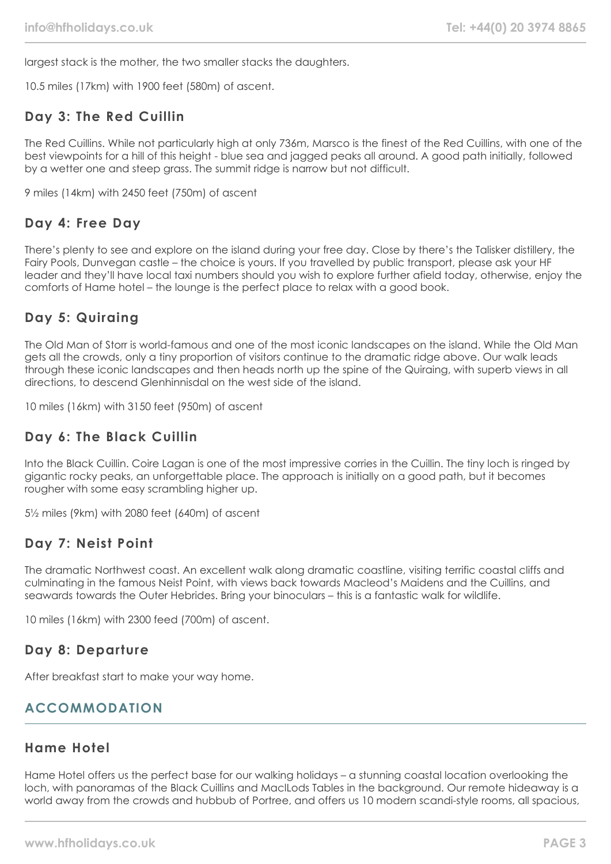largest stack is the mother, the two smaller stacks the daughters.

10.5 miles (17km) with 1900 feet (580m) of ascent.

# **Day 3: The Red Cuillin**

The Red Cuillins. While not particularly high at only 736m, Marsco is the finest of the Red Cuillins, with one of the best viewpoints for a hill of this height - blue sea and jagged peaks all around. A good path initially, followed by a wetter one and steep grass. The summit ridge is narrow but not difficult.

9 miles (14km) with 2450 feet (750m) of ascent

# **Day 4: Free Day**

There's plenty to see and explore on the island during your free day. Close by there's the Talisker distillery, the Fairy Pools, Dunvegan castle – the choice is yours. If you travelled by public transport, please ask your HF leader and they'll have local taxi numbers should you wish to explore further afield today, otherwise, enjoy the comforts of Hame hotel – the lounge is the perfect place to relax with a good book.

# **Day 5: Quiraing**

The Old Man of Storr is world-famous and one of the most iconic landscapes on the island. While the Old Man gets all the crowds, only a tiny proportion of visitors continue to the dramatic ridge above. Our walk leads through these iconic landscapes and then heads north up the spine of the Quiraing, with superb views in all directions, to descend Glenhinnisdal on the west side of the island.

10 miles (16km) with 3150 feet (950m) of ascent

# **Day 6: The Black Cuillin**

Into the Black Cuillin. Coire Lagan is one of the most impressive corries in the Cuillin. The tiny loch is ringed by gigantic rocky peaks, an unforgettable place. The approach is initially on a good path, but it becomes rougher with some easy scrambling higher up.

5½ miles (9km) with 2080 feet (640m) of ascent

## **Day 7: Neist Point**

The dramatic Northwest coast. An excellent walk along dramatic coastline, visiting terrific coastal cliffs and culminating in the famous Neist Point, with views back towards Macleod's Maidens and the Cuillins, and seawards towards the Outer Hebrides. Bring your binoculars – this is a fantastic walk for wildlife.

10 miles (16km) with 2300 feed (700m) of ascent.

## **Day 8: Departure**

After breakfast start to make your way home.

# **ACCOMMODATION**

# **Hame Hotel**

Hame Hotel offers us the perfect base for our walking holidays – a stunning coastal location overlooking the loch, with panoramas of the Black Cuillins and MaclLods Tables in the background. Our remote hideaway is a world away from the crowds and hubbub of Portree, and offers us 10 modern scandi-style rooms, all spacious,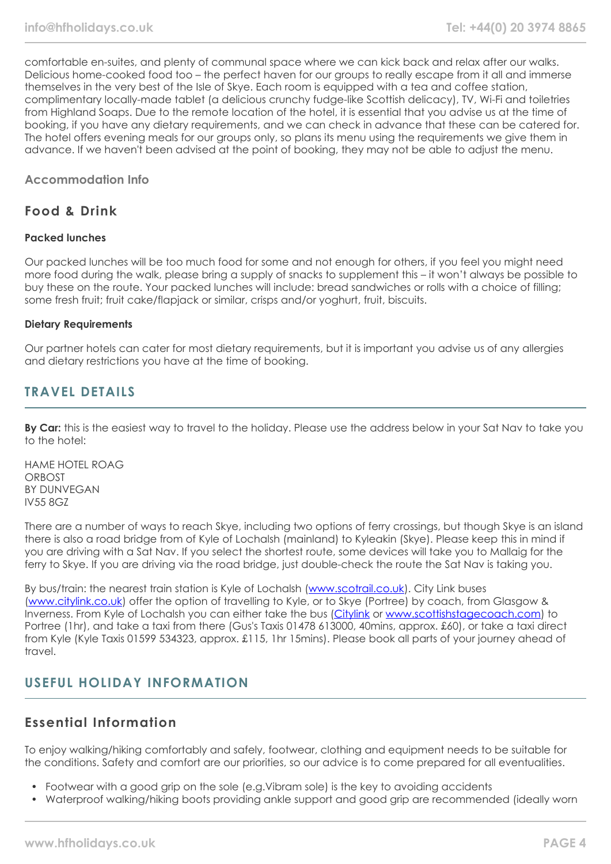comfortable en-suites, and plenty of communal space where we can kick back and relax after our walks. Delicious home-cooked food too – the perfect haven for our groups to really escape from it all and immerse themselves in the very best of the Isle of Skye. Each room is equipped with a tea and coffee station, complimentary locally-made tablet (a delicious crunchy fudge-like Scottish delicacy), TV, Wi-Fi and toiletries from Highland Soaps. Due to the remote location of the hotel, it is essential that you advise us at the time of booking, if you have any dietary requirements, and we can check in advance that these can be catered for. The hotel offers evening meals for our groups only, so plans its menu using the requirements we give them in advance. If we haven't been advised at the point of booking, they may not be able to adjust the menu.

## **Accommodation Info**

## **Food & Drink**

## **Packed lunches**

Our packed lunches will be too much food for some and not enough for others, if you feel you might need more food during the walk, please bring a supply of snacks to supplement this – it won't always be possible to buy these on the route. Your packed lunches will include: bread sandwiches or rolls with a choice of filling; some fresh fruit; fruit cake/flapjack or similar, crisps and/or yoghurt, fruit, biscuits.

#### **Dietary Requirements**

Our partner hotels can cater for most dietary requirements, but it is important you advise us of any allergies and dietary restrictions you have at the time of booking.

## **TRAVEL DETAILS**

**By Car:** this is the easiest way to travel to the holiday. Please use the address below in your Sat Nav to take you to the hotel:

HAME HOTEL ROAG **ORBOST** BY DUNVEGAN IV55 8GZ

There are a number of ways to reach Skye, including two options of ferry crossings, but though Skye is an island there is also a road bridge from of Kyle of Lochalsh (mainland) to Kyleakin (Skye). Please keep this in mind if you are driving with a Sat Nav. If you select the shortest route, some devices will take you to Mallaig for the ferry to Skye. If you are driving via the road bridge, just double-check the route the Sat Nav is taking you.

By bus/train: the nearest train station is Kyle of Lochalsh ([www.scotrail.co.uk](https://www.scotrail.co.uk/)). City Link buses ([www.citylink.co.uk](https://www.citylink.co.uk/)) offer the option of travelling to Kyle, or to Skye (Portree) by coach, from Glasgow & Inverness. From Kyle of Lochalsh you can either take the bus ([Citylink](https://www.citylink.co.uk/) or [www.scottishstagecoach.com](https://www.stagecoachbus.com/about/east-scotland)) to Portree (1hr), and take a taxi from there (Gus's Taxis 01478 613000, 40mins, approx. £60), or take a taxi direct from Kyle (Kyle Taxis 01599 534323, approx. £115, 1hr 15mins). Please book all parts of your journey ahead of travel.

## **USEFUL HOLIDAY INFORMATION**

## **Essential Information**

To enjoy walking/hiking comfortably and safely, footwear, clothing and equipment needs to be suitable for the conditions. Safety and comfort are our priorities, so our advice is to come prepared for all eventualities.

- Footwear with a good grip on the sole (e.g.Vibram sole) is the key to avoiding accidents
- Waterproof walking/hiking boots providing ankle support and good grip are recommended (ideally worn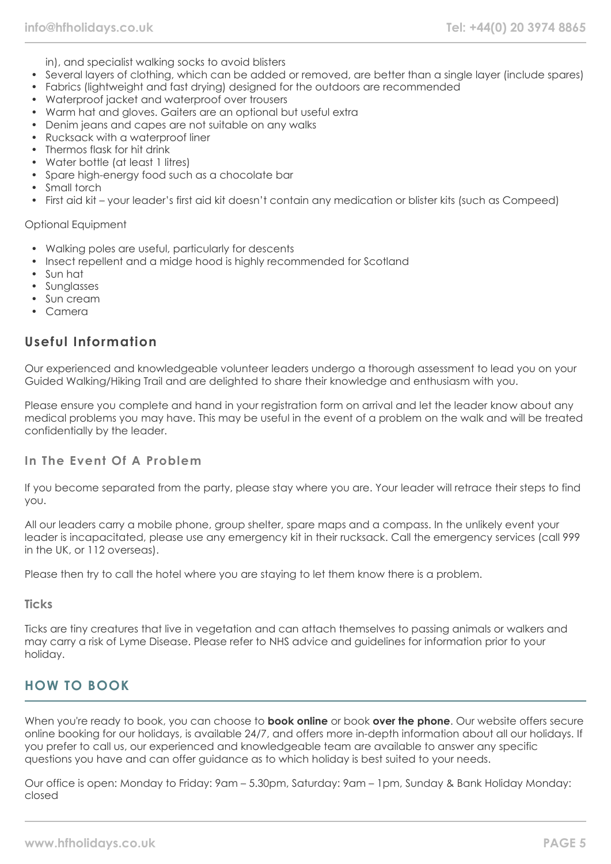in), and specialist walking socks to avoid blisters

- Several layers of clothing, which can be added or removed, are better than a single layer (include spares)
- Fabrics (lightweight and fast drying) designed for the outdoors are recommended
- Waterproof jacket and waterproof over trousers
- Warm hat and gloves. Gaiters are an optional but useful extra
- Denim jeans and capes are not suitable on any walks
- Rucksack with a waterproof liner
- Thermos flask for hit drink
- Water bottle (at least 1 litres)
- Spare high-energy food such as a chocolate bar
- Small torch
- First aid kit your leader's first aid kit doesn't contain any medication or blister kits (such as Compeed)

## Optional Equipment

- Walking poles are useful, particularly for descents
- Insect repellent and a midge hood is highly recommended for Scotland
- Sun hat
- Sunglasses
- Sun cream
- Camera

## **Useful Information**

Our experienced and knowledgeable volunteer leaders undergo a thorough assessment to lead you on your Guided Walking/Hiking Trail and are delighted to share their knowledge and enthusiasm with you.

Please ensure you complete and hand in your registration form on arrival and let the leader know about any medical problems you may have. This may be useful in the event of a problem on the walk and will be treated confidentially by the leader.

## **In The Event Of A Problem**

If you become separated from the party, please stay where you are. Your leader will retrace their steps to find you.

All our leaders carry a mobile phone, group shelter, spare maps and a compass. In the unlikely event your leader is incapacitated, please use any emergency kit in their rucksack. Call the emergency services (call 999 in the UK, or 112 overseas).

Please then try to call the hotel where you are staying to let them know there is a problem.

## **Ticks**

Ticks are tiny creatures that live in vegetation and can attach themselves to passing animals or walkers and may carry a risk of Lyme Disease. Please refer to NHS advice and guidelines for information prior to your holiday.

# **HOW TO BOOK**

When you're ready to book, you can choose to **book online** or book **over the phone**. Our website offers secure online booking for our holidays, is available 24/7, and offers more in-depth information about all our holidays. If you prefer to call us, our experienced and knowledgeable team are available to answer any specific questions you have and can offer guidance as to which holiday is best suited to your needs.

Our office is open: Monday to Friday: 9am – 5.30pm, Saturday: 9am – 1pm, Sunday & Bank Holiday Monday: closed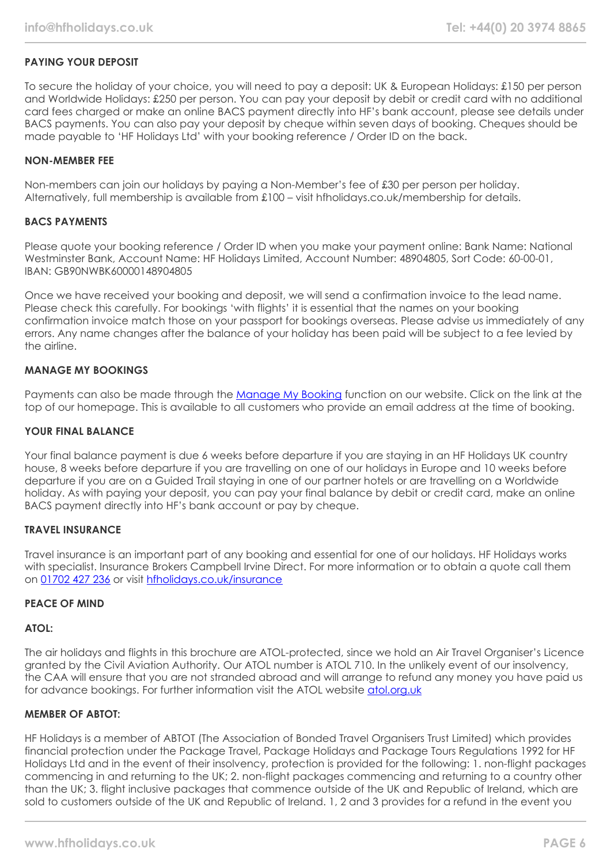## **PAYING YOUR DEPOSIT**

To secure the holiday of your choice, you will need to pay a deposit: UK & European Holidays: £150 per person and Worldwide Holidays: £250 per person. You can pay your deposit by debit or credit card with no additional card fees charged or make an online BACS payment directly into HF's bank account, please see details under BACS payments. You can also pay your deposit by cheque within seven days of booking. Cheques should be made payable to 'HF Holidays Ltd' with your booking reference / Order ID on the back.

## **NON-MEMBER FEE**

Non-members can join our holidays by paying a Non-Member's fee of £30 per person per holiday. Alternatively, full membership is available from £100 – visit hfholidays.co.uk/membership for details.

#### **BACS PAYMENTS**

Please quote your booking reference / Order ID when you make your payment online: Bank Name: National Westminster Bank, Account Name: HF Holidays Limited, Account Number: 48904805, Sort Code: 60-00-01, IBAN: GB90NWBK60000148904805

Once we have received your booking and deposit, we will send a confirmation invoice to the lead name. Please check this carefully. For bookings 'with flights' it is essential that the names on your booking confirmation invoice match those on your passport for bookings overseas. Please advise us immediately of any errors. Any name changes after the balance of your holiday has been paid will be subject to a fee levied by the airline.

## **MANAGE MY BOOKINGS**

Payments can also be made through the [Manage My Booking](https://www.hfholidays.co.uk/about-us/bookings/my-booking) function on our website. Click on the link at the top of our homepage. This is available to all customers who provide an email address at the time of booking.

#### **YOUR FINAL BALANCE**

Your final balance payment is due 6 weeks before departure if you are staying in an HF Holidays UK country house, 8 weeks before departure if you are travelling on one of our holidays in Europe and 10 weeks before departure if you are on a Guided Trail staying in one of our partner hotels or are travelling on a Worldwide holiday. As with paying your deposit, you can pay your final balance by debit or credit card, make an online BACS payment directly into HF's bank account or pay by cheque.

## **TRAVEL INSURANCE**

Travel insurance is an important part of any booking and essential for one of our holidays. HF Holidays works with specialist. Insurance Brokers Campbell Irvine Direct. For more information or to obtain a quote call them on [01702 427 236](tel:01702427236) or visit [hfholidays.co.uk/insurance](https://www.hfholidays.co.uk/about-us/bookings/insurance)

## **PEACE OF MIND**

## **ATOL:**

The air holidays and flights in this brochure are ATOL-protected, since we hold an Air Travel Organiser's Licence granted by the Civil Aviation Authority. Our ATOL number is ATOL 710. In the unlikely event of our insolvency, the CAA will ensure that you are not stranded abroad and will arrange to refund any money you have paid us for advance bookings. For further information visit the ATOL website [atol.org.uk](https://www.atol.org/)

## **MEMBER OF ABTOT:**

HF Holidays is a member of ABTOT (The Association of Bonded Travel Organisers Trust Limited) which provides financial protection under the Package Travel, Package Holidays and Package Tours Regulations 1992 for HF Holidays Ltd and in the event of their insolvency, protection is provided for the following: 1. non-flight packages commencing in and returning to the UK; 2. non-flight packages commencing and returning to a country other than the UK; 3. flight inclusive packages that commence outside of the UK and Republic of Ireland, which are sold to customers outside of the UK and Republic of Ireland. 1, 2 and 3 provides for a refund in the event you